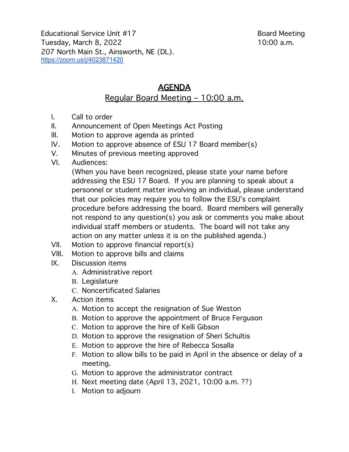Educational Service Unit #17 Board Meeting Tuesday, March 8, 2022 10:00 a.m. 207 North Main St., Ainsworth, NE (DL). https://zoom.us/j/4023871420

## AGENDA

## Regular Board Meeting – 10:00 a.m.

- I. Call to order
- II. Announcement of Open Meetings Act Posting
- III. Motion to approve agenda as printed
- IV. Motion to approve absence of ESU 17 Board member(s)
- V. Minutes of previous meeting approved
- VI. Audiences:

(When you have been recognized, please state your name before addressing the ESU 17 Board. If you are planning to speak about a personnel or student matter involving an individual, please understand that our policies may require you to follow the ESU's complaint procedure before addressing the board. Board members will generally not respond to any question(s) you ask or comments you make about individual staff members or students. The board will not take any action on any matter unless it is on the published agenda.)

- VII. Motion to approve financial report(s)
- VIII. Motion to approve bills and claims
- IX. Discussion items
	- A. Administrative report
	- B. Legislature
	- C. Noncertificated Salaries
- X. Action items
	- A. Motion to accept the resignation of Sue Weston
	- B. Motion to approve the appointment of Bruce Ferguson
	- C. Motion to approve the hire of Kelli Gibson
	- D. Motion to approve the resignation of Sheri Schultis
	- E. Motion to approve the hire of Rebecca Sosalla
	- F. Motion to allow bills to be paid in April in the absence or delay of a meeting.
	- G. Motion to approve the administrator contract
	- H. Next meeting date (April 13, 2021, 10:00 a.m. ??)
	- I. Motion to adjourn